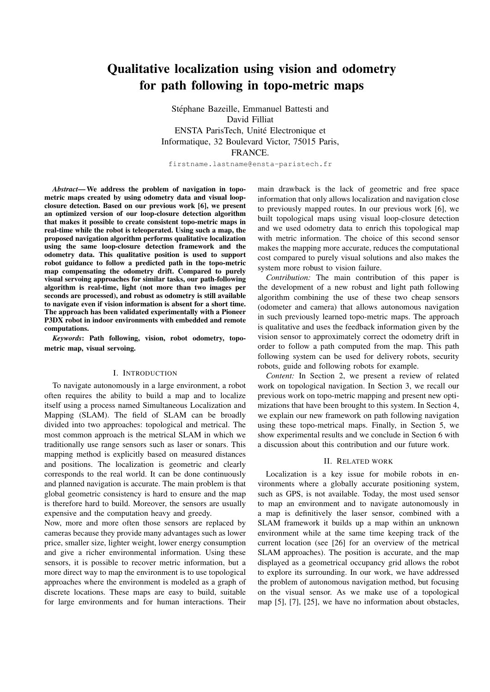# Qualitative localization using vision and odometry for path following in topo-metric maps

Stéphane Bazeille, Emmanuel Battesti and David Filliat ENSTA ParisTech, Unite Electronique et ´ Informatique, 32 Boulevard Victor, 75015 Paris, FRANCE.

firstname.lastname@ensta-paristech.fr

*Abstract*— We address the problem of navigation in topometric maps created by using odometry data and visual loopclosure detection. Based on our previous work [6], we present an optimized version of our loop-closure detection algorithm that makes it possible to create consistent topo-metric maps in real-time while the robot is teleoperated. Using such a map, the proposed navigation algorithm performs qualitative localization using the same loop-closure detection framework and the odometry data. This qualitative position is used to support robot guidance to follow a predicted path in the topo-metric map compensating the odometry drift. Compared to purely visual servoing approaches for similar tasks, our path-following algorithm is real-time, light (not more than two images per seconds are processed), and robust as odometry is still available to navigate even if vision information is absent for a short time. The approach has been validated experimentally with a Pioneer P3DX robot in indoor environments with embedded and remote computations.

*Keywords*: Path following, vision, robot odometry, topometric map, visual servoing.

## I. INTRODUCTION

To navigate autonomously in a large environment, a robot often requires the ability to build a map and to localize itself using a process named Simultaneous Localization and Mapping (SLAM). The field of SLAM can be broadly divided into two approaches: topological and metrical. The most common approach is the metrical SLAM in which we traditionally use range sensors such as laser or sonars. This mapping method is explicitly based on measured distances and positions. The localization is geometric and clearly corresponds to the real world. It can be done continuously and planned navigation is accurate. The main problem is that global geometric consistency is hard to ensure and the map is therefore hard to build. Moreover, the sensors are usually expensive and the computation heavy and greedy.

Now, more and more often those sensors are replaced by cameras because they provide many advantages such as lower price, smaller size, lighter weight, lower energy consumption and give a richer environmental information. Using these sensors, it is possible to recover metric information, but a more direct way to map the environment is to use topological approaches where the environment is modeled as a graph of discrete locations. These maps are easy to build, suitable for large environments and for human interactions. Their

main drawback is the lack of geometric and free space information that only allows localization and navigation close to previously mapped routes. In our previous work [6], we built topological maps using visual loop-closure detection and we used odometry data to enrich this topological map with metric information. The choice of this second sensor makes the mapping more accurate, reduces the computational cost compared to purely visual solutions and also makes the system more robust to vision failure.

*Contribution:* The main contribution of this paper is the development of a new robust and light path following algorithm combining the use of these two cheap sensors (odometer and camera) that allows autonomous navigation in such previously learned topo-metric maps. The approach is qualitative and uses the feedback information given by the vision sensor to approximately correct the odometry drift in order to follow a path computed from the map. This path following system can be used for delivery robots, security robots, guide and following robots for example.

*Content:* In Section 2, we present a review of related work on topological navigation. In Section 3, we recall our previous work on topo-metric mapping and present new optimizations that have been brought to this system. In Section 4, we explain our new framework on path following navigation using these topo-metrical maps. Finally, in Section 5, we show experimental results and we conclude in Section 6 with a discussion about this contribution and our future work.

### II. RELATED WORK

Localization is a key issue for mobile robots in environments where a globally accurate positioning system, such as GPS, is not available. Today, the most used sensor to map an environment and to navigate autonomously in a map is definitively the laser sensor, combined with a SLAM framework it builds up a map within an unknown environment while at the same time keeping track of the current location (see [26] for an overview of the metrical SLAM approaches). The position is accurate, and the map displayed as a geometrical occupancy grid allows the robot to explore its surrounding. In our work, we have addressed the problem of autonomous navigation method, but focusing on the visual sensor. As we make use of a topological map [5], [7], [25], we have no information about obstacles,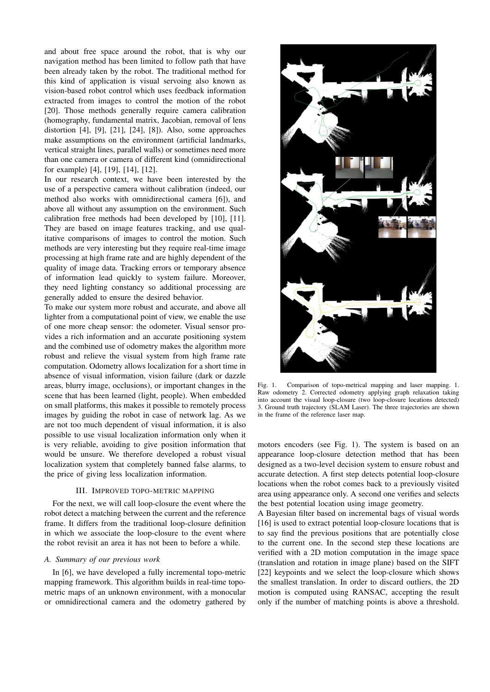and about free space around the robot, that is why our navigation method has been limited to follow path that have been already taken by the robot. The traditional method for this kind of application is visual servoing also known as vision-based robot control which uses feedback information extracted from images to control the motion of the robot [20]. Those methods generally require camera calibration (homography, fundamental matrix, Jacobian, removal of lens distortion [4], [9], [21], [24], [8]). Also, some approaches make assumptions on the environment (artificial landmarks, vertical straight lines, parallel walls) or sometimes need more than one camera or camera of different kind (omnidirectional for example) [4], [19], [14], [12].

In our research context, we have been interested by the use of a perspective camera without calibration (indeed, our method also works with omnidirectional camera [6]), and above all without any assumption on the environment. Such calibration free methods had been developed by [10], [11]. They are based on image features tracking, and use qualitative comparisons of images to control the motion. Such methods are very interesting but they require real-time image processing at high frame rate and are highly dependent of the quality of image data. Tracking errors or temporary absence of information lead quickly to system failure. Moreover, they need lighting constancy so additional processing are generally added to ensure the desired behavior.

To make our system more robust and accurate, and above all lighter from a computational point of view, we enable the use of one more cheap sensor: the odometer. Visual sensor provides a rich information and an accurate positioning system and the combined use of odometry makes the algorithm more robust and relieve the visual system from high frame rate computation. Odometry allows localization for a short time in absence of visual information, vision failure (dark or dazzle areas, blurry image, occlusions), or important changes in the scene that has been learned (light, people). When embedded on small platforms, this makes it possible to remotely process images by guiding the robot in case of network lag. As we are not too much dependent of visual information, it is also possible to use visual localization information only when it is very reliable, avoiding to give position information that would be unsure. We therefore developed a robust visual localization system that completely banned false alarms, to the price of giving less localization information.

## III. IMPROVED TOPO-METRIC MAPPING

For the next, we will call loop-closure the event where the robot detect a matching between the current and the reference frame. It differs from the traditional loop-closure definition in which we associate the loop-closure to the event where the robot revisit an area it has not been to before a while.

## *A. Summary of our previous work*

In [6], we have developed a fully incremental topo-metric mapping framework. This algorithm builds in real-time topometric maps of an unknown environment, with a monocular or omnidirectional camera and the odometry gathered by



Fig. 1. Comparison of topo-metrical mapping and laser mapping. 1. Raw odometry 2. Corrected odometry applying graph relaxation taking into account the visual loop-closure (two loop-closure locations detected) 3. Ground truth trajectory (SLAM Laser). The three trajectories are shown in the frame of the reference laser map.

motors encoders (see Fig. 1). The system is based on an appearance loop-closure detection method that has been designed as a two-level decision system to ensure robust and accurate detection. A first step detects potential loop-closure locations when the robot comes back to a previously visited area using appearance only. A second one verifies and selects the best potential location using image geometry.

A Bayesian filter based on incremental bags of visual words [16] is used to extract potential loop-closure locations that is to say find the previous positions that are potentially close to the current one. In the second step these locations are verified with a 2D motion computation in the image space (translation and rotation in image plane) based on the SIFT [22] keypoints and we select the loop-closure which shows the smallest translation. In order to discard outliers, the 2D motion is computed using RANSAC, accepting the result only if the number of matching points is above a threshold.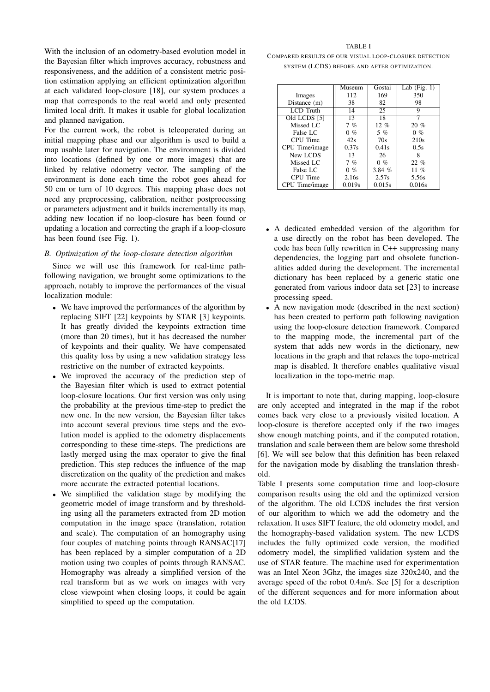With the inclusion of an odometry-based evolution model in the Bayesian filter which improves accuracy, robustness and responsiveness, and the addition of a consistent metric position estimation applying an efficient optimization algorithm at each validated loop-closure [18], our system produces a map that corresponds to the real world and only presented limited local drift. It makes it usable for global localization and planned navigation.

For the current work, the robot is teleoperated during an initial mapping phase and our algorithm is used to build a map usable later for navigation. The environment is divided into locations (defined by one or more images) that are linked by relative odometry vector. The sampling of the environment is done each time the robot goes ahead for 50 cm or turn of 10 degrees. This mapping phase does not need any preprocessing, calibration, neither postprocessing or parameters adjustment and it builds incrementally its map, adding new location if no loop-closure has been found or updating a location and correcting the graph if a loop-closure has been found (see Fig. 1).

# *B. Optimization of the loop-closure detection algorithm*

Since we will use this framework for real-time pathfollowing navigation, we brought some optimizations to the approach, notably to improve the performances of the visual localization module:

- We have improved the performances of the algorithm by replacing SIFT [22] keypoints by STAR [3] keypoints. It has greatly divided the keypoints extraction time (more than 20 times), but it has decreased the number of keypoints and their quality. We have compensated this quality loss by using a new validation strategy less restrictive on the number of extracted keypoints.
- We improved the accuracy of the prediction step of the Bayesian filter which is used to extract potential loop-closure locations. Our first version was only using the probability at the previous time-step to predict the new one. In the new version, the Bayesian filter takes into account several previous time steps and the evolution model is applied to the odometry displacements corresponding to these time-steps. The predictions are lastly merged using the max operator to give the final prediction. This step reduces the influence of the map discretization on the quality of the prediction and makes more accurate the extracted potential locations.
- We simplified the validation stage by modifying the geometric model of image transform and by thresholding using all the parameters extracted from 2D motion computation in the image space (translation, rotation and scale). The computation of an homography using four couples of matching points through RANSAC[17] has been replaced by a simpler computation of a 2D motion using two couples of points through RANSAC. Homography was already a simplified version of the real transform but as we work on images with very close viewpoint when closing loops, it could be again simplified to speed up the computation.

#### TABLE I

COMPARED RESULTS OF OUR VISUAL LOOP-CLOSURE DETECTION SYSTEM (LCDS) BEFORE AND AFTER OPTIMIZATION.

|                         | Museum | Gostai  | Lab $(Fig. 1)$ |
|-------------------------|--------|---------|----------------|
| Images                  | 112    | 169     | 350            |
| Distance (m)            | 38     | 82      | 98             |
| <b>LCD</b> Truth        | 14     | 25      | 9              |
| Old LCDS <sup>[5]</sup> | 13     | 18      | 7              |
| Missed LC               | 7%     | $12 \%$ | $20 \%$        |
| False LC                | $0\%$  | $5\%$   | $0\%$          |
| CPU Time                | 42s    | 70s     | 210s           |
| CPU Time/image          | 0.37s  | 0.41s   | 0.5s           |
| New LCDS                | 13     | 26      | 8              |
| Missed LC               | 7%     | $0\%$   | $22\%$         |
| False LC                | $0\%$  | 3.84%   | $11\%$         |
| CPU Time                | 2.16s  | 2.57s   | 5.56s          |
| CPU Time/image          | 0.019s | 0.015s  | 0.016s         |

- A dedicated embedded version of the algorithm for a use directly on the robot has been developed. The code has been fully rewritten in C++ suppressing many dependencies, the logging part and obsolete functionalities added during the development. The incremental dictionary has been replaced by a generic static one generated from various indoor data set [23] to increase processing speed.
- A new navigation mode (described in the next section) has been created to perform path following navigation using the loop-closure detection framework. Compared to the mapping mode, the incremental part of the system that adds new words in the dictionary, new locations in the graph and that relaxes the topo-metrical map is disabled. It therefore enables qualitative visual localization in the topo-metric map.

It is important to note that, during mapping, loop-closure are only accepted and integrated in the map if the robot comes back very close to a previously visited location. A loop-closure is therefore accepted only if the two images show enough matching points, and if the computed rotation, translation and scale between them are below some threshold [6]. We will see below that this definition has been relaxed for the navigation mode by disabling the translation threshold.

Table I presents some computation time and loop-closure comparison results using the old and the optimized version of the algorithm. The old LCDS includes the first version of our algorithm to which we add the odometry and the relaxation. It uses SIFT feature, the old odometry model, and the homography-based validation system. The new LCDS includes the fully optimized code version, the modified odometry model, the simplified validation system and the use of STAR feature. The machine used for experimentation was an Intel Xeon 3Ghz, the images size 320x240, and the average speed of the robot 0.4m/s. See [5] for a description of the different sequences and for more information about the old LCDS.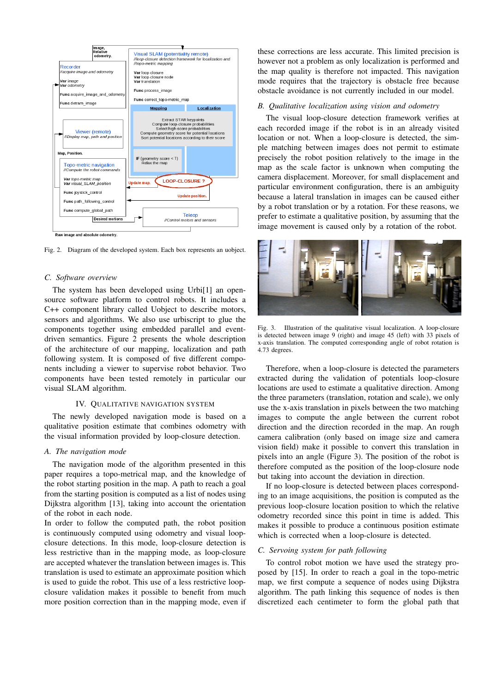

Fig. 2. Diagram of the developed system. Each box represents an uobject.

#### *C. Software overview*

The system has been developed using Urbi[1] an opensource software platform to control robots. It includes a C++ component library called Uobject to describe motors, sensors and algorithms. We also use urbiscript to glue the components together using embedded parallel and eventdriven semantics. Figure 2 presents the whole description of the architecture of our mapping, localization and path following system. It is composed of five different components including a viewer to supervise robot behavior. Two components have been tested remotely in particular our visual SLAM algorithm.

#### IV. QUALITATIVE NAVIGATION SYSTEM

The newly developed navigation mode is based on a qualitative position estimate that combines odometry with the visual information provided by loop-closure detection.

#### *A. The navigation mode*

The navigation mode of the algorithm presented in this paper requires a topo-metrical map, and the knowledge of the robot starting position in the map. A path to reach a goal from the starting position is computed as a list of nodes using Dijkstra algorithm [13], taking into account the orientation of the robot in each node.

In order to follow the computed path, the robot position is continuously computed using odometry and visual loopclosure detections. In this mode, loop-closure detection is less restrictive than in the mapping mode, as loop-closure are accepted whatever the translation between images is. This translation is used to estimate an approximate position which is used to guide the robot. This use of a less restrictive loopclosure validation makes it possible to benefit from much more position correction than in the mapping mode, even if

these corrections are less accurate. This limited precision is however not a problem as only localization is performed and the map quality is therefore not impacted. This navigation mode requires that the trajectory is obstacle free because obstacle avoidance is not currently included in our model.

# *B. Qualitative localization using vision and odometry*

The visual loop-closure detection framework verifies at each recorded image if the robot is in an already visited location or not. When a loop-closure is detected, the simple matching between images does not permit to estimate precisely the robot position relatively to the image in the map as the scale factor is unknown when computing the camera displacement. Moreover, for small displacement and particular environment configuration, there is an ambiguity because a lateral translation in images can be caused either by a robot translation or by a rotation. For these reasons, we prefer to estimate a qualitative position, by assuming that the image movement is caused only by a rotation of the robot.



Fig. 3. Illustration of the qualitative visual localization. A loop-closure is detected between image 9 (right) and image 45 (left) with  $33$  pixels of x-axis translation. The computed corresponding angle of robot rotation is 4.73 degrees.

Therefore, when a loop-closure is detected the parameters extracted during the validation of potentials loop-closure locations are used to estimate a qualitative direction. Among the three parameters (translation, rotation and scale), we only use the x-axis translation in pixels between the two matching images to compute the angle between the current robot direction and the direction recorded in the map. An rough camera calibration (only based on image size and camera vision field) make it possible to convert this translation in pixels into an angle (Figure 3). The position of the robot is therefore computed as the position of the loop-closure node but taking into account the deviation in direction.

If no loop-closure is detected between places corresponding to an image acquisitions, the position is computed as the previous loop-closure location position to which the relative odometry recorded since this point in time is added. This makes it possible to produce a continuous position estimate which is corrected when a loop-closure is detected.

#### *C. Servoing system for path following*

To control robot motion we have used the strategy proposed by [15]. In order to reach a goal in the topo-metric map, we first compute a sequence of nodes using Dijkstra algorithm. The path linking this sequence of nodes is then discretized each centimeter to form the global path that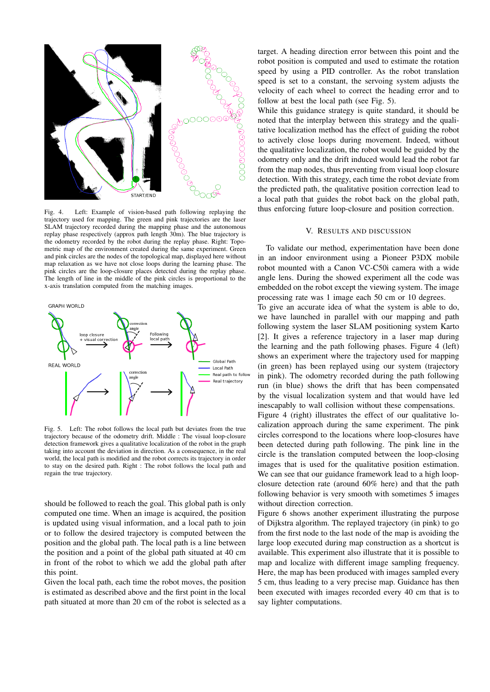

Fig. 4. Left: Example of vision-based path following replaying the trajectory used for mapping. The green and pink trajectories are the laser SLAM trajectory recorded during the mapping phase and the autonomous replay phase respectively (approx path length 30m). The blue trajectory is the odometry recorded by the robot during the replay phase. Right: Topometric map of the environment created during the same experiment. Green and pink circles are the nodes of the topological map, displayed here without map relaxation as we have not close loops during the learning phase. The pink circles are the loop-closure places detected during the replay phase. The length of line in the middle of the pink circles is proportional to the x-axis translation computed from the matching images.



Fig. 5. Left: The robot follows the local path but deviates from the true trajectory because of the odometry drift. Middle : The visual loop-closure detection framework gives a qualitative localization of the robot in the graph taking into account the deviation in direction. As a consequence, in the real world, the local path is modified and the robot corrects its trajectory in order to stay on the desired path. Right : The robot follows the local path and regain the true trajectory.

should be followed to reach the goal. This global path is only computed one time. When an image is acquired, the position is updated using visual information, and a local path to join or to follow the desired trajectory is computed between the position and the global path. The local path is a line between the position and a point of the global path situated at 40 cm in front of the robot to which we add the global path after this point.

Given the local path, each time the robot moves, the position is estimated as described above and the first point in the local path situated at more than 20 cm of the robot is selected as a

target. A heading direction error between this point and the robot position is computed and used to estimate the rotation speed by using a PID controller. As the robot translation speed is set to a constant, the servoing system adjusts the velocity of each wheel to correct the heading error and to follow at best the local path (see Fig. 5).

While this guidance strategy is quite standard, it should be noted that the interplay between this strategy and the qualitative localization method has the effect of guiding the robot to actively close loops during movement. Indeed, without the qualitative localization, the robot would be guided by the odometry only and the drift induced would lead the robot far from the map nodes, thus preventing from visual loop closure detection. With this strategy, each time the robot deviate from the predicted path, the qualitative position correction lead to a local path that guides the robot back on the global path, thus enforcing future loop-closure and position correction.

#### V. RESULTS AND DISCUSSION

To validate our method, experimentation have been done in an indoor environment using a Pioneer P3DX mobile robot mounted with a Canon VC-C50i camera with a wide angle lens. During the showed experiment all the code was embedded on the robot except the viewing system. The image processing rate was 1 image each 50 cm or 10 degrees.

To give an accurate idea of what the system is able to do, we have launched in parallel with our mapping and path following system the laser SLAM positioning system Karto [2]. It gives a reference trajectory in a laser map during the learning and the path following phases. Figure 4 (left) shows an experiment where the trajectory used for mapping (in green) has been replayed using our system (trajectory in pink). The odometry recorded during the path following run (in blue) shows the drift that has been compensated by the visual localization system and that would have led inescapably to wall collision without these compensations. Figure 4 (right) illustrates the effect of our qualitative lo-

calization approach during the same experiment. The pink circles correspond to the locations where loop-closures have been detected during path following. The pink line in the circle is the translation computed between the loop-closing images that is used for the qualitative position estimation. We can see that our guidance framework lead to a high loopclosure detection rate (around 60% here) and that the path following behavior is very smooth with sometimes 5 images without direction correction.

Figure 6 shows another experiment illustrating the purpose of Dijkstra algorithm. The replayed trajectory (in pink) to go from the first node to the last node of the map is avoiding the large loop executed during map construction as a shortcut is available. This experiment also illustrate that it is possible to map and localize with different image sampling frequency. Here, the map has been produced with images sampled every 5 cm, thus leading to a very precise map. Guidance has then been executed with images recorded every 40 cm that is to say lighter computations.